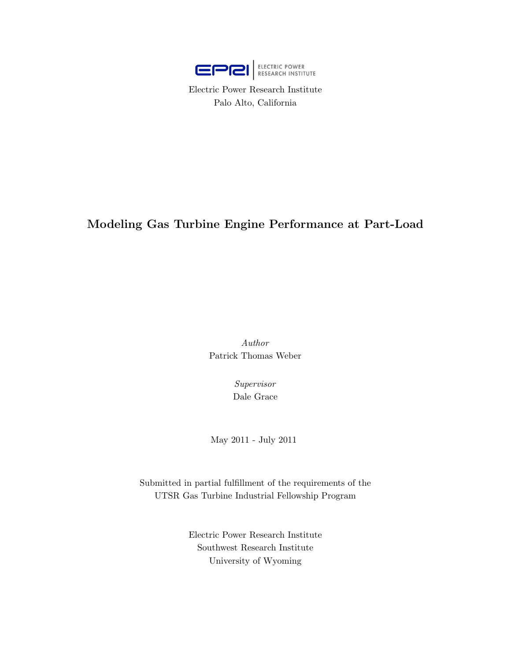

Electric Power Research Institute Palo Alto, California

# Modeling Gas Turbine Engine Performance at Part-Load

Author Patrick Thomas Weber

> Supervisor Dale Grace

May 2011 - July 2011

Submitted in partial fulfillment of the requirements of the UTSR Gas Turbine Industrial Fellowship Program

> Electric Power Research Institute Southwest Research Institute University of Wyoming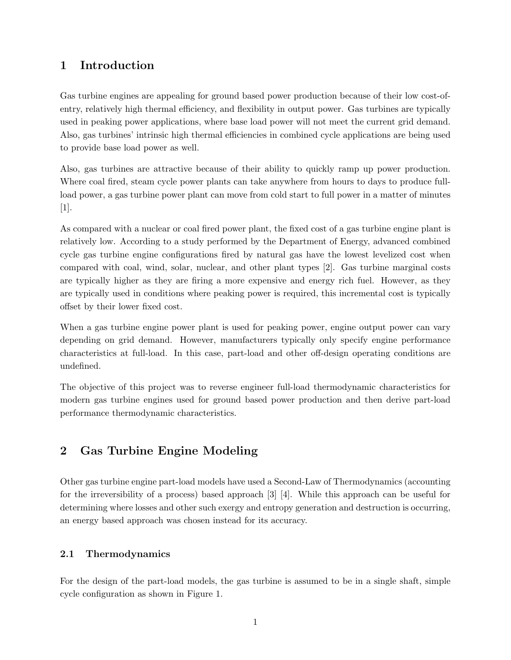# 1 Introduction

Gas turbine engines are appealing for ground based power production because of their low cost-ofentry, relatively high thermal efficiency, and flexibility in output power. Gas turbines are typically used in peaking power applications, where base load power will not meet the current grid demand. Also, gas turbines' intrinsic high thermal efficiencies in combined cycle applications are being used to provide base load power as well.

Also, gas turbines are attractive because of their ability to quickly ramp up power production. Where coal fired, steam cycle power plants can take anywhere from hours to days to produce fullload power, a gas turbine power plant can move from cold start to full power in a matter of minutes [1].

As compared with a nuclear or coal fired power plant, the fixed cost of a gas turbine engine plant is relatively low. According to a study performed by the Department of Energy, advanced combined cycle gas turbine engine configurations fired by natural gas have the lowest levelized cost when compared with coal, wind, solar, nuclear, and other plant types [2]. Gas turbine marginal costs are typically higher as they are firing a more expensive and energy rich fuel. However, as they are typically used in conditions where peaking power is required, this incremental cost is typically offset by their lower fixed cost.

When a gas turbine engine power plant is used for peaking power, engine output power can vary depending on grid demand. However, manufacturers typically only specify engine performance characteristics at full-load. In this case, part-load and other off-design operating conditions are undefined.

The objective of this project was to reverse engineer full-load thermodynamic characteristics for modern gas turbine engines used for ground based power production and then derive part-load performance thermodynamic characteristics.

# 2 Gas Turbine Engine Modeling

Other gas turbine engine part-load models have used a Second-Law of Thermodynamics (accounting for the irreversibility of a process) based approach [3] [4]. While this approach can be useful for determining where losses and other such exergy and entropy generation and destruction is occurring, an energy based approach was chosen instead for its accuracy.

# 2.1 Thermodynamics

For the design of the part-load models, the gas turbine is assumed to be in a single shaft, simple cycle configuration as shown in Figure 1.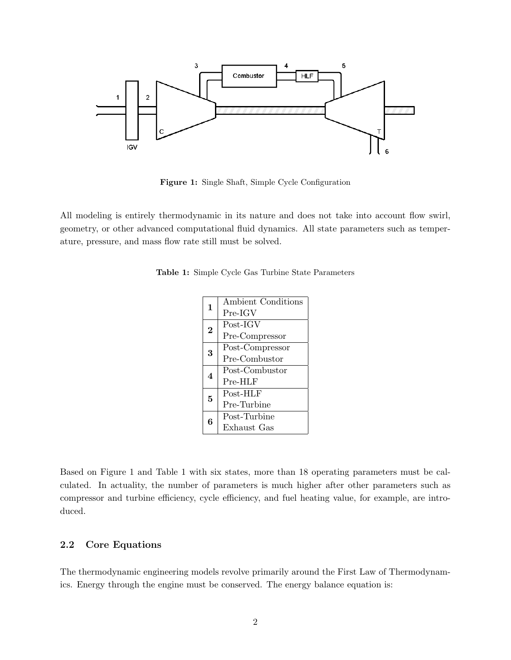

Figure 1: Single Shaft, Simple Cycle Configuration

All modeling is entirely thermodynamic in its nature and does not take into account flow swirl, geometry, or other advanced computational fluid dynamics. All state parameters such as temperature, pressure, and mass flow rate still must be solved.

|                | Ambient Conditions |
|----------------|--------------------|
| $\mathbf{1}$   |                    |
|                | $Pre-IGV$          |
| $\overline{2}$ | Post-IGV           |
|                | Pre-Compressor     |
| 3              | Post-Compressor    |
|                | Pre-Combustor      |
| 4              | Post-Combustor     |
|                | $Pre-HLF$          |
| 5              | Post-HLF           |
|                | Pre-Turbine        |
| 6              | Post-Turbine       |
|                | Exhaust Gas        |

Table 1: Simple Cycle Gas Turbine State Parameters

Based on Figure 1 and Table 1 with six states, more than 18 operating parameters must be calculated. In actuality, the number of parameters is much higher after other parameters such as compressor and turbine efficiency, cycle efficiency, and fuel heating value, for example, are introduced.

## 2.2 Core Equations

The thermodynamic engineering models revolve primarily around the First Law of Thermodynamics. Energy through the engine must be conserved. The energy balance equation is: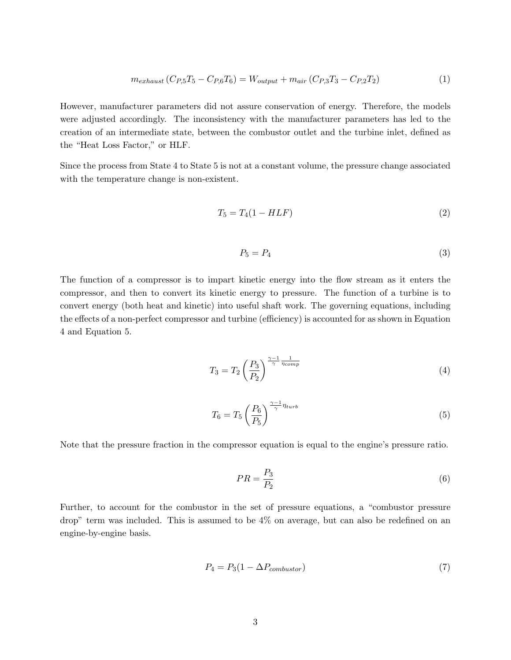$$
m_{exhaust} (C_{P,5}T_5 - C_{P,6}T_6) = W_{output} + m_{air} (C_{P,3}T_3 - C_{P,2}T_2)
$$
\n(1)

However, manufacturer parameters did not assure conservation of energy. Therefore, the models were adjusted accordingly. The inconsistency with the manufacturer parameters has led to the creation of an intermediate state, between the combustor outlet and the turbine inlet, defined as the "Heat Loss Factor," or HLF.

Since the process from State 4 to State 5 is not at a constant volume, the pressure change associated with the temperature change is non-existent.

$$
T_5 = T_4(1 - HLF) \tag{2}
$$

$$
P_5 = P_4 \tag{3}
$$

The function of a compressor is to impart kinetic energy into the flow stream as it enters the compressor, and then to convert its kinetic energy to pressure. The function of a turbine is to convert energy (both heat and kinetic) into useful shaft work. The governing equations, including the effects of a non-perfect compressor and turbine (efficiency) is accounted for as shown in Equation 4 and Equation 5.

$$
T_3 = T_2 \left(\frac{P_3}{P_2}\right)^{\frac{\gamma - 1}{\gamma} \frac{1}{\eta_{comp}}} \tag{4}
$$

$$
T_6 = T_5 \left(\frac{P_6}{P_5}\right)^{\frac{\gamma - 1}{\gamma} \eta_{turb}}\tag{5}
$$

Note that the pressure fraction in the compressor equation is equal to the engine's pressure ratio.

$$
PR = \frac{P_3}{P_2} \tag{6}
$$

Further, to account for the combustor in the set of pressure equations, a "combustor pressure drop" term was included. This is assumed to be 4% on average, but can also be redefined on an engine-by-engine basis.

$$
P_4 = P_3(1 - \Delta P_{combustor})\tag{7}
$$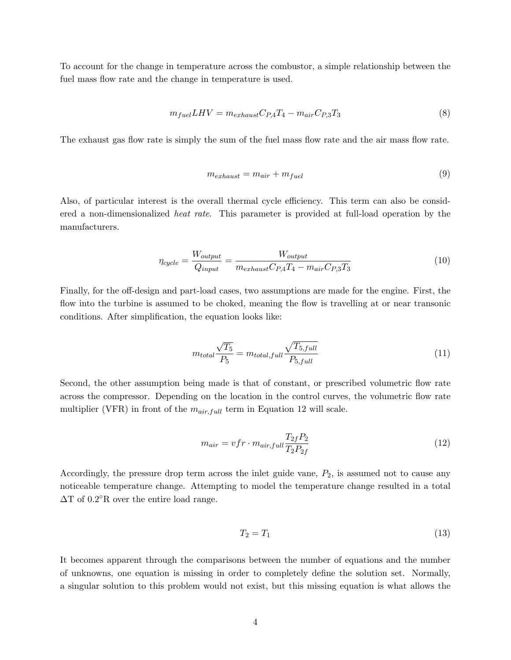To account for the change in temperature across the combustor, a simple relationship between the fuel mass flow rate and the change in temperature is used.

$$
m_{fuel} LHV = m_{exhaust} C_{P,4} T_4 - m_{air} C_{P,3} T_3 \tag{8}
$$

The exhaust gas flow rate is simply the sum of the fuel mass flow rate and the air mass flow rate.

$$
m_{exhaust} = m_{air} + m_{fuel} \tag{9}
$$

Also, of particular interest is the overall thermal cycle efficiency. This term can also be considered a non-dimensionalized *heat rate*. This parameter is provided at full-load operation by the manufacturers.

$$
\eta_{cycle} = \frac{W_{output}}{Q_{input}} = \frac{W_{output}}{m_{exhaust}C_{P,4}T_4 - m_{air}C_{P,3}T_3}
$$
(10)

Finally, for the off-design and part-load cases, two assumptions are made for the engine. First, the flow into the turbine is assumed to be choked, meaning the flow is travelling at or near transonic conditions. After simplification, the equation looks like:

$$
m_{total} \frac{\sqrt{T_5}}{P_5} = m_{total, full} \frac{\sqrt{T_{5, full}}}{P_{5, full}}
$$
\n(11)

Second, the other assumption being made is that of constant, or prescribed volumetric flow rate across the compressor. Depending on the location in the control curves, the volumetric flow rate multiplier (VFR) in front of the  $m_{air, full}$  term in Equation 12 will scale.

$$
m_{air} = vfr \cdot m_{air, full} \frac{T_{2f} P_2}{T_2 P_{2f}}
$$
\n
$$
\tag{12}
$$

Accordingly, the pressure drop term across the inlet guide vane,  $P_2$ , is assumed not to cause any noticeable temperature change. Attempting to model the temperature change resulted in a total  $\Delta T$  of 0.2 $\rm{R}$  over the entire load range.

$$
T_2 = T_1 \tag{13}
$$

It becomes apparent through the comparisons between the number of equations and the number of unknowns, one equation is missing in order to completely define the solution set. Normally, a singular solution to this problem would not exist, but this missing equation is what allows the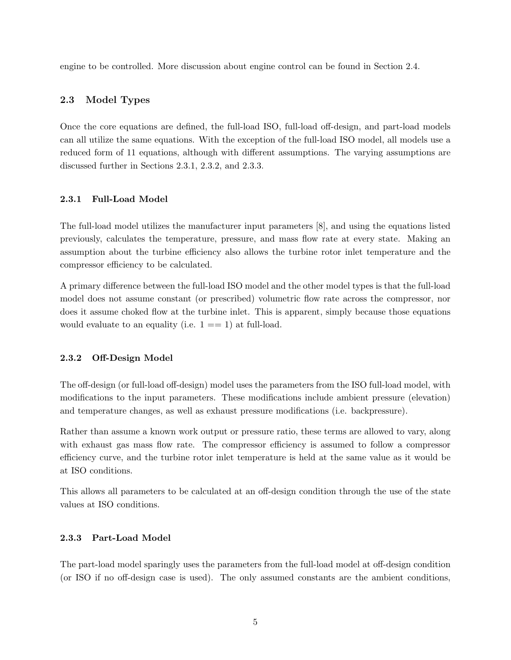engine to be controlled. More discussion about engine control can be found in Section 2.4.

## 2.3 Model Types

Once the core equations are defined, the full-load ISO, full-load off-design, and part-load models can all utilize the same equations. With the exception of the full-load ISO model, all models use a reduced form of 11 equations, although with different assumptions. The varying assumptions are discussed further in Sections 2.3.1, 2.3.2, and 2.3.3.

#### 2.3.1 Full-Load Model

The full-load model utilizes the manufacturer input parameters [8], and using the equations listed previously, calculates the temperature, pressure, and mass flow rate at every state. Making an assumption about the turbine efficiency also allows the turbine rotor inlet temperature and the compressor efficiency to be calculated.

A primary difference between the full-load ISO model and the other model types is that the full-load model does not assume constant (or prescribed) volumetric flow rate across the compressor, nor does it assume choked flow at the turbine inlet. This is apparent, simply because those equations would evaluate to an equality (i.e.  $1 == 1$ ) at full-load.

## 2.3.2 Off-Design Model

The off-design (or full-load off-design) model uses the parameters from the ISO full-load model, with modifications to the input parameters. These modifications include ambient pressure (elevation) and temperature changes, as well as exhaust pressure modifications (i.e. backpressure).

Rather than assume a known work output or pressure ratio, these terms are allowed to vary, along with exhaust gas mass flow rate. The compressor efficiency is assumed to follow a compressor efficiency curve, and the turbine rotor inlet temperature is held at the same value as it would be at ISO conditions.

This allows all parameters to be calculated at an off-design condition through the use of the state values at ISO conditions.

### 2.3.3 Part-Load Model

The part-load model sparingly uses the parameters from the full-load model at off-design condition (or ISO if no off-design case is used). The only assumed constants are the ambient conditions,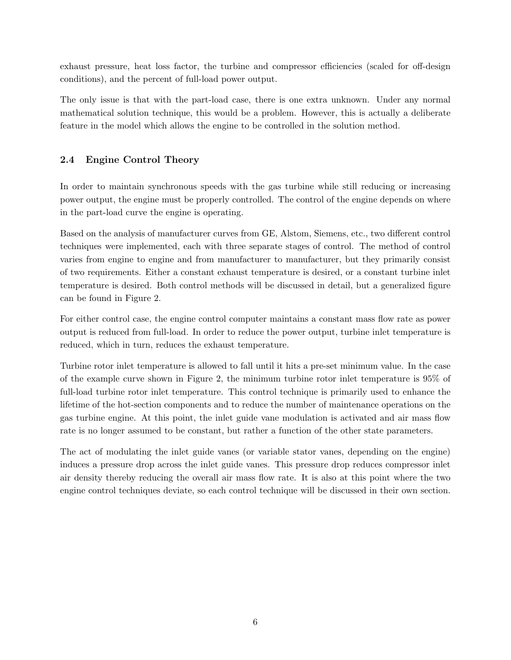exhaust pressure, heat loss factor, the turbine and compressor efficiencies (scaled for off-design conditions), and the percent of full-load power output.

The only issue is that with the part-load case, there is one extra unknown. Under any normal mathematical solution technique, this would be a problem. However, this is actually a deliberate feature in the model which allows the engine to be controlled in the solution method.

# 2.4 Engine Control Theory

In order to maintain synchronous speeds with the gas turbine while still reducing or increasing power output, the engine must be properly controlled. The control of the engine depends on where in the part-load curve the engine is operating.

Based on the analysis of manufacturer curves from GE, Alstom, Siemens, etc., two different control techniques were implemented, each with three separate stages of control. The method of control varies from engine to engine and from manufacturer to manufacturer, but they primarily consist of two requirements. Either a constant exhaust temperature is desired, or a constant turbine inlet temperature is desired. Both control methods will be discussed in detail, but a generalized figure can be found in Figure 2.

For either control case, the engine control computer maintains a constant mass flow rate as power output is reduced from full-load. In order to reduce the power output, turbine inlet temperature is reduced, which in turn, reduces the exhaust temperature.

Turbine rotor inlet temperature is allowed to fall until it hits a pre-set minimum value. In the case of the example curve shown in Figure 2, the minimum turbine rotor inlet temperature is 95% of full-load turbine rotor inlet temperature. This control technique is primarily used to enhance the lifetime of the hot-section components and to reduce the number of maintenance operations on the gas turbine engine. At this point, the inlet guide vane modulation is activated and air mass flow rate is no longer assumed to be constant, but rather a function of the other state parameters.

The act of modulating the inlet guide vanes (or variable stator vanes, depending on the engine) induces a pressure drop across the inlet guide vanes. This pressure drop reduces compressor inlet air density thereby reducing the overall air mass flow rate. It is also at this point where the two engine control techniques deviate, so each control technique will be discussed in their own section.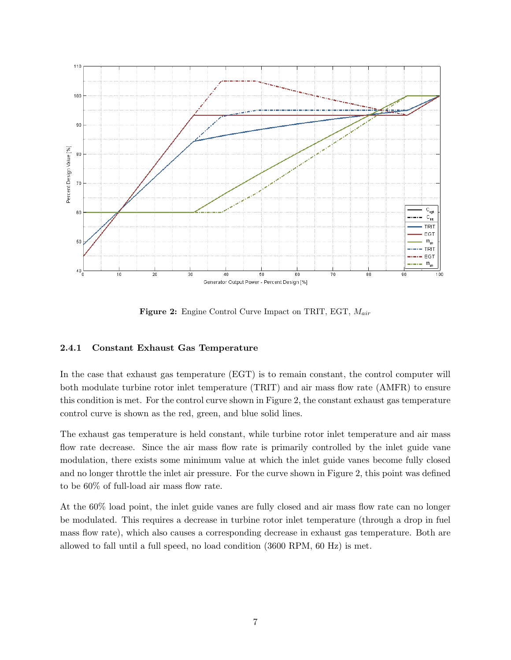

**Figure 2:** Engine Control Curve Impact on TRIT, EGT,  $M_{air}$ 

## 2.4.1 Constant Exhaust Gas Temperature

In the case that exhaust gas temperature (EGT) is to remain constant, the control computer will both modulate turbine rotor inlet temperature (TRIT) and air mass flow rate (AMFR) to ensure this condition is met. For the control curve shown in Figure 2, the constant exhaust gas temperature control curve is shown as the red, green, and blue solid lines.

The exhaust gas temperature is held constant, while turbine rotor inlet temperature and air mass flow rate decrease. Since the air mass flow rate is primarily controlled by the inlet guide vane modulation, there exists some minimum value at which the inlet guide vanes become fully closed and no longer throttle the inlet air pressure. For the curve shown in Figure 2, this point was defined to be 60% of full-load air mass flow rate.

At the 60% load point, the inlet guide vanes are fully closed and air mass flow rate can no longer be modulated. This requires a decrease in turbine rotor inlet temperature (through a drop in fuel mass flow rate), which also causes a corresponding decrease in exhaust gas temperature. Both are allowed to fall until a full speed, no load condition (3600 RPM, 60 Hz) is met.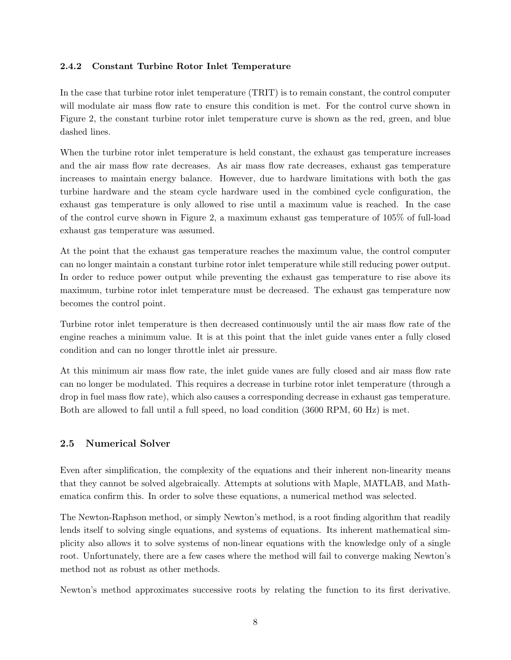## 2.4.2 Constant Turbine Rotor Inlet Temperature

In the case that turbine rotor inlet temperature (TRIT) is to remain constant, the control computer will modulate air mass flow rate to ensure this condition is met. For the control curve shown in Figure 2, the constant turbine rotor inlet temperature curve is shown as the red, green, and blue dashed lines.

When the turbine rotor inlet temperature is held constant, the exhaust gas temperature increases and the air mass flow rate decreases. As air mass flow rate decreases, exhaust gas temperature increases to maintain energy balance. However, due to hardware limitations with both the gas turbine hardware and the steam cycle hardware used in the combined cycle configuration, the exhaust gas temperature is only allowed to rise until a maximum value is reached. In the case of the control curve shown in Figure 2, a maximum exhaust gas temperature of 105% of full-load exhaust gas temperature was assumed.

At the point that the exhaust gas temperature reaches the maximum value, the control computer can no longer maintain a constant turbine rotor inlet temperature while still reducing power output. In order to reduce power output while preventing the exhaust gas temperature to rise above its maximum, turbine rotor inlet temperature must be decreased. The exhaust gas temperature now becomes the control point.

Turbine rotor inlet temperature is then decreased continuously until the air mass flow rate of the engine reaches a minimum value. It is at this point that the inlet guide vanes enter a fully closed condition and can no longer throttle inlet air pressure.

At this minimum air mass flow rate, the inlet guide vanes are fully closed and air mass flow rate can no longer be modulated. This requires a decrease in turbine rotor inlet temperature (through a drop in fuel mass flow rate), which also causes a corresponding decrease in exhaust gas temperature. Both are allowed to fall until a full speed, no load condition (3600 RPM, 60 Hz) is met.

## 2.5 Numerical Solver

Even after simplification, the complexity of the equations and their inherent non-linearity means that they cannot be solved algebraically. Attempts at solutions with Maple, MATLAB, and Mathematica confirm this. In order to solve these equations, a numerical method was selected.

The Newton-Raphson method, or simply Newton's method, is a root finding algorithm that readily lends itself to solving single equations, and systems of equations. Its inherent mathematical simplicity also allows it to solve systems of non-linear equations with the knowledge only of a single root. Unfortunately, there are a few cases where the method will fail to converge making Newton's method not as robust as other methods.

Newton's method approximates successive roots by relating the function to its first derivative.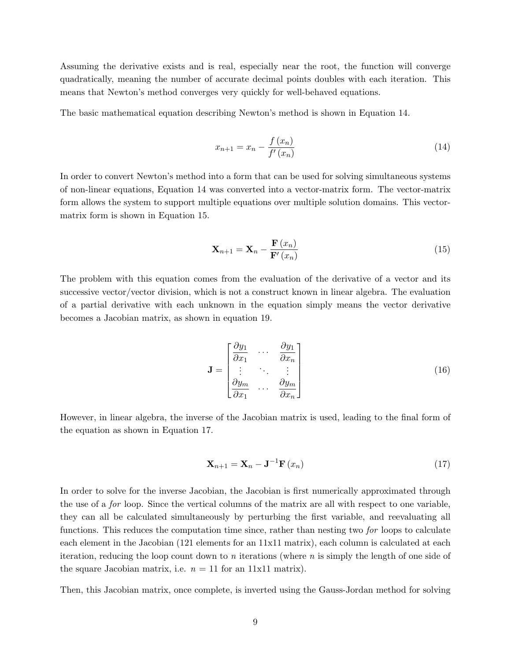Assuming the derivative exists and is real, especially near the root, the function will converge quadratically, meaning the number of accurate decimal points doubles with each iteration. This means that Newton's method converges very quickly for well-behaved equations.

The basic mathematical equation describing Newton's method is shown in Equation 14.

$$
x_{n+1} = x_n - \frac{f(x_n)}{f'(x_n)}
$$
\n(14)

In order to convert Newton's method into a form that can be used for solving simultaneous systems of non-linear equations, Equation 14 was converted into a vector-matrix form. The vector-matrix form allows the system to support multiple equations over multiple solution domains. This vectormatrix form is shown in Equation 15.

$$
\mathbf{X}_{n+1} = \mathbf{X}_n - \frac{\mathbf{F}\left(x_n\right)}{\mathbf{F}'\left(x_n\right)}\tag{15}
$$

The problem with this equation comes from the evaluation of the derivative of a vector and its successive vector/vector division, which is not a construct known in linear algebra. The evaluation of a partial derivative with each unknown in the equation simply means the vector derivative becomes a Jacobian matrix, as shown in equation 19.

$$
\mathbf{J} = \begin{bmatrix} \frac{\partial y_1}{\partial x_1} & \cdots & \frac{\partial y_1}{\partial x_n} \\ \vdots & \ddots & \vdots \\ \frac{\partial y_m}{\partial x_1} & \cdots & \frac{\partial y_m}{\partial x_n} \end{bmatrix}
$$
(16)

However, in linear algebra, the inverse of the Jacobian matrix is used, leading to the final form of the equation as shown in Equation 17.

$$
\mathbf{X}_{n+1} = \mathbf{X}_n - \mathbf{J}^{-1} \mathbf{F}\left(x_n\right) \tag{17}
$$

In order to solve for the inverse Jacobian, the Jacobian is first numerically approximated through the use of a for loop. Since the vertical columns of the matrix are all with respect to one variable, they can all be calculated simultaneously by perturbing the first variable, and reevaluating all functions. This reduces the computation time since, rather than nesting two for loops to calculate each element in the Jacobian (121 elements for an 11x11 matrix), each column is calculated at each iteration, reducing the loop count down to n iterations (where  $n$  is simply the length of one side of the square Jacobian matrix, i.e.  $n = 11$  for an 11x11 matrix).

Then, this Jacobian matrix, once complete, is inverted using the Gauss-Jordan method for solving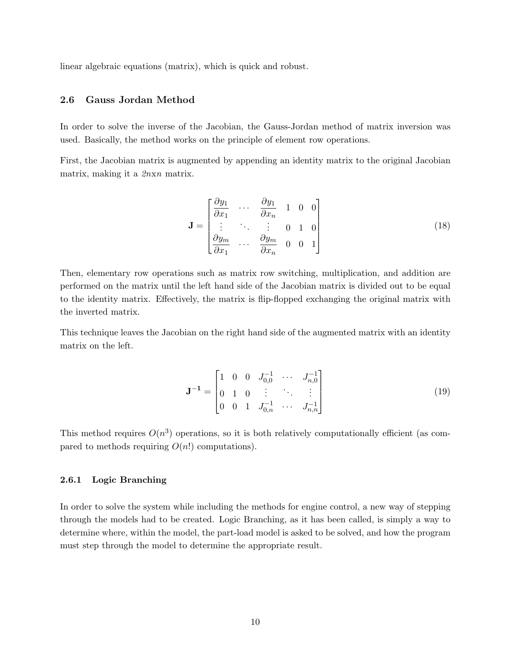linear algebraic equations (matrix), which is quick and robust.

### 2.6 Gauss Jordan Method

In order to solve the inverse of the Jacobian, the Gauss-Jordan method of matrix inversion was used. Basically, the method works on the principle of element row operations.

First, the Jacobian matrix is augmented by appending an identity matrix to the original Jacobian matrix, making it a 2nxn matrix.

$$
\mathbf{J} = \begin{bmatrix} \frac{\partial y_1}{\partial x_1} & \cdots & \frac{\partial y_1}{\partial x_n} & 1 & 0 & 0 \\ \vdots & \ddots & \vdots & 0 & 1 & 0 \\ \frac{\partial y_m}{\partial x_1} & \cdots & \frac{\partial y_m}{\partial x_n} & 0 & 0 & 1 \end{bmatrix}
$$
(18)

Then, elementary row operations such as matrix row switching, multiplication, and addition are performed on the matrix until the left hand side of the Jacobian matrix is divided out to be equal to the identity matrix. Effectively, the matrix is flip-flopped exchanging the original matrix with the inverted matrix.

This technique leaves the Jacobian on the right hand side of the augmented matrix with an identity matrix on the left.

$$
\mathbf{J}^{-1} = \begin{bmatrix} 1 & 0 & 0 & J_{0,0}^{-1} & \cdots & J_{n,0}^{-1} \\ 0 & 1 & 0 & \vdots & \ddots & \vdots \\ 0 & 0 & 1 & J_{0,n}^{-1} & \cdots & J_{n,n}^{-1} \end{bmatrix}
$$
(19)

This method requires  $O(n^3)$  operations, so it is both relatively computationally efficient (as compared to methods requiring  $O(n!)$  computations).

## 2.6.1 Logic Branching

In order to solve the system while including the methods for engine control, a new way of stepping through the models had to be created. Logic Branching, as it has been called, is simply a way to determine where, within the model, the part-load model is asked to be solved, and how the program must step through the model to determine the appropriate result.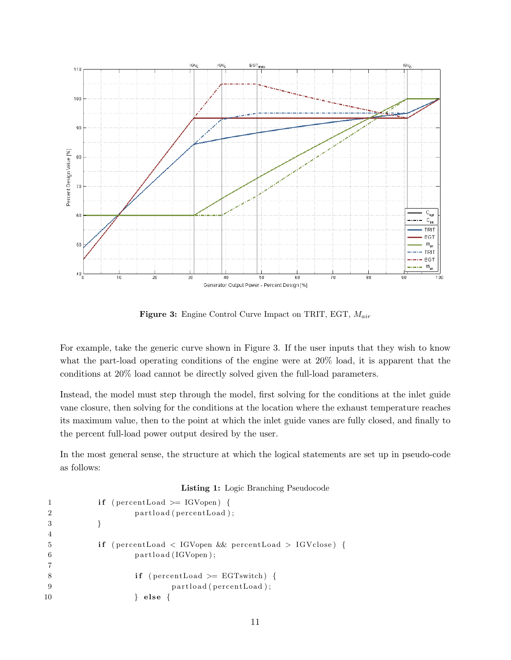

**Figure 3:** Engine Control Curve Impact on TRIT, EGT,  $M_{air}$ 

For example, take the generic curve shown in Figure 3. If the user inputs that they wish to know what the part-load operating conditions of the engine were at 20% load, it is apparent that the conditions at 20% load cannot be directly solved given the full-load parameters.

Instead, the model must step through the model, first solving for the conditions at the inlet guide vane closure, then solving for the conditions at the location where the exhaust temperature reaches its maximum value, then to the point at which the inlet guide vanes are fully closed, and finally to the percent full-load power output desired by the user.

In the most general sense, the structure at which the logical statements are set up in pseudo-code as follows:

#### Listing 1: Logic Branching Pseudocode

```
1 if (percentLoad \geq IGVopen) {
2 partload (percentLoad);
3 }
4
5 if (percentLoad < IGVopen && percentLoad > IGVclose) {
6 partload (IGVopen);
7
8 if (percentLoad \geq EGT switch) {
9 partload (percentLoad);
10 } else {
```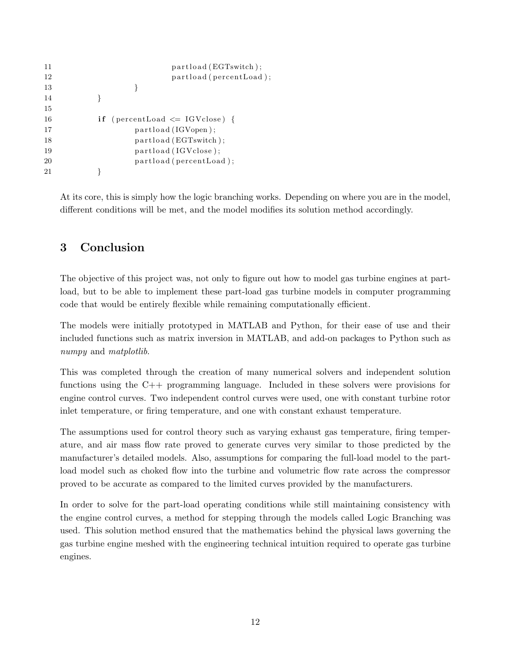```
11 partload (EGTswitch);
12 partload (percentLoad);
13 }
14 }
15
16 if (percentLoad \leq IGVclose) {
17 partload (IGVopen);
18 partload (EGTswitch);
19 partload (IGVclose);
20 partload ( percent Load );
21   }
```
At its core, this is simply how the logic branching works. Depending on where you are in the model, different conditions will be met, and the model modifies its solution method accordingly.

# 3 Conclusion

The objective of this project was, not only to figure out how to model gas turbine engines at partload, but to be able to implement these part-load gas turbine models in computer programming code that would be entirely flexible while remaining computationally efficient.

The models were initially prototyped in MATLAB and Python, for their ease of use and their included functions such as matrix inversion in MATLAB, and add-on packages to Python such as numpy and *matplotlib*.

This was completed through the creation of many numerical solvers and independent solution functions using the C++ programming language. Included in these solvers were provisions for engine control curves. Two independent control curves were used, one with constant turbine rotor inlet temperature, or firing temperature, and one with constant exhaust temperature.

The assumptions used for control theory such as varying exhaust gas temperature, firing temperature, and air mass flow rate proved to generate curves very similar to those predicted by the manufacturer's detailed models. Also, assumptions for comparing the full-load model to the partload model such as choked flow into the turbine and volumetric flow rate across the compressor proved to be accurate as compared to the limited curves provided by the manufacturers.

In order to solve for the part-load operating conditions while still maintaining consistency with the engine control curves, a method for stepping through the models called Logic Branching was used. This solution method ensured that the mathematics behind the physical laws governing the gas turbine engine meshed with the engineering technical intuition required to operate gas turbine engines.